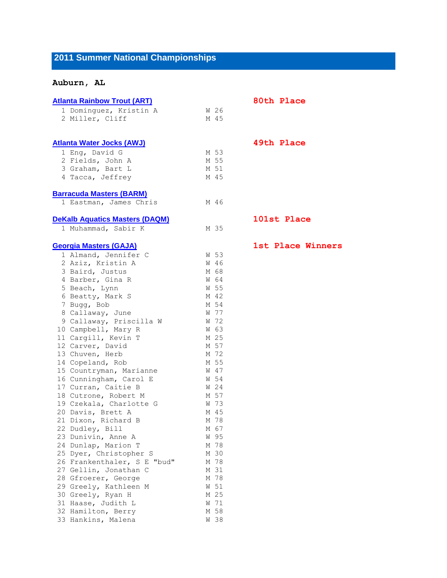## **2011 Summer National Championships**

## **Auburn, AL**

| <b>Atlanta Rainbow Trout (ART)</b>    |      | 80th Place  |
|---------------------------------------|------|-------------|
| 1 Dominguez, Kristin A                | W 26 |             |
| 2 Miller, Cliff                       | M 45 |             |
|                                       |      |             |
| <b>Atlanta Water Jocks (AWJ)</b>      |      | 49th Place  |
| 1 Eng, David G                        | M 53 |             |
| 2 Fields, John A                      | M 55 |             |
| 3 Graham, Bart L                      | M 51 |             |
| 4 Tacca, Jeffrey                      | M 45 |             |
| <b>Barracuda Masters (BARM)</b>       |      |             |
| 1 Eastman, James Chris                | M 46 |             |
| <b>DeKalb Aquatics Masters (DAQM)</b> |      | 101st Place |
| 1 Muhammad, Sabir K                   | M 35 |             |
| <b>Georgia Masters (GAJA)</b>         |      | 1st Place W |
| 1 Almand, Jennifer C                  | W 53 |             |
| 2 Aziz, Kristin A                     | W 46 |             |
| 3 Baird, Justus                       | M 68 |             |
| 4 Barber, Gina R                      | W 64 |             |
| 5 Beach, Lynn                         | W 55 |             |
| 6 Beatty, Mark S                      | M 42 |             |
| 7 Bugg, Bob                           | M 54 |             |
| 8 Callaway, June                      | W 77 |             |
| 9 Callaway, Priscilla W               | W 72 |             |
| 10 Campbell, Mary R                   | W 63 |             |
| 11 Cargill, Kevin T                   | M 25 |             |
| 12 Carver, David                      | M 57 |             |
| 13 Chuven, Herb                       | M 72 |             |
| 14 Copeland, Rob                      | M 55 |             |
| 15 Countryman, Marianne               | W 47 |             |
| 16 Cunningham, Carol E                | W 54 |             |
| 17 Curran, Caitie B                   | W 24 |             |
| 18 Cutrone, Robert M                  | M 57 |             |
| 19 Czekala, Charlotte G               | W 73 |             |
| 20 Davis, Brett A                     | M 45 |             |
| 21 Dixon, Richard B                   | M 78 |             |
| 22 Dudley, Bill                       | M 67 |             |
| 23 Dunivin, Anne A                    | W 95 |             |
| 24 Dunlap, Marion T                   | M 78 |             |
| 25 Dyer, Christopher S                | M 30 |             |
| 26 Frankenthaler, S E "bud"           | M 78 |             |
| 27 Gellin, Jonathan C                 | M 31 |             |
| 28 Gfroerer, George                   | M 78 |             |
| 29 Greely, Kathleen M                 | W 51 |             |
| 30 Greely, Ryan H                     | M 25 |             |
| 31 Haase, Judith L                    | W 71 |             |
| 32 Hamilton, Berry                    | M 58 |             |
| 33 Hankins, Malena                    | W 38 |             |

**[Georgia Masters \(GAJA\)](http://www.usms.org/comp/lcnats11/heats/teamroster.php?TeamAbbr=GAJA&Search=Search) 1st Place Winners**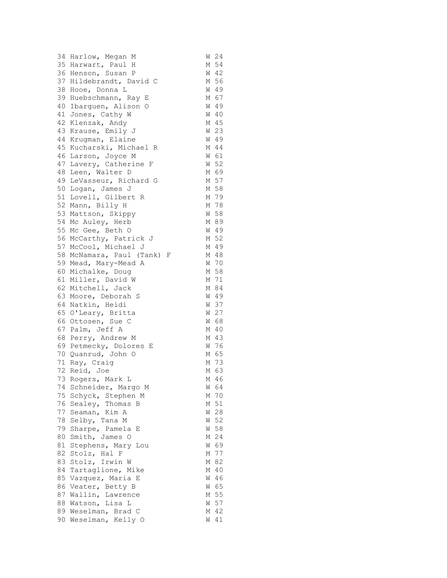| 34 | Harlow, Megan M            | W | 24   |
|----|----------------------------|---|------|
|    | 35 Harwart, Paul H         | М | 54   |
|    | 36 Henson, Susan P         | W | 42   |
|    | 37 Hildebrandt, David C    | М | 56   |
| 38 | Hooe, Donna L              | W | 49   |
| 39 | Huebschmann, Ray E         | М | 67   |
| 40 | Ibarguen, Alison O         | W | 49   |
|    | 41 Jones, Cathy W          | W | 40   |
| 42 | Klenzak, Andy              | М | 45   |
| 43 | Krause, Emily J            | W | 23   |
| 44 | Krugman, Elaine            |   | W 49 |
| 45 | Kucharski, Michael R       | М | 44   |
| 46 | Larson, Joyce M            | W | 61   |
| 47 | Lavery, Catherine F        | W | 52   |
| 48 | Leen, Walter D             | М | 69   |
|    | 49 LeVasseur, Richard G    | М | 57   |
|    | 50 Logan, James J          | М | 58   |
|    |                            | М | 79   |
|    | 51 Lovell, Gilbert R       |   |      |
|    | 52 Mann, Billy H           | М | 78   |
| 53 | Mattson, Skippy            | W | 58   |
| 54 | Mc Auley, Herb             | М | 89   |
| 55 | Mc Gee, Beth O             | W | 49   |
| 56 | McCarthy, Patrick J        | М | 52   |
|    | 57 McCool, Michael J       | М | 49   |
|    | 58 McNamara, Paul (Tank) F | М | 48   |
|    | 59 Mead, Mary-Mead A       |   | W 70 |
|    | 60 Michalke, Doug          | М | 58   |
|    | 61 Miller, David W         |   | M 71 |
|    | 62 Mitchell, Jack          | М | 84   |
| 63 | Moore, Deborah S           | W | 49   |
| 64 | Natkin, Heidi              | W | 37   |
|    | 65 O'Leary, Britta         | W | 27   |
|    | 66 Ottosen, Sue C          | W | 68   |
|    | 67 Palm, Jeff A            | М | 40   |
|    | 68 Perry, Andrew M         | М | 43   |
|    | 69 Petmecky, Dolores E     |   | W 76 |
|    | 70 Quanrud, John O         | М | 65   |
| 71 | Ray, Craig                 | М | 73   |
| 72 | Reid, Joe                  | М | 63   |
|    | 73 Rogers, Mark L          | М | 46   |
| 74 | Schneider, Margo M         | W | 64   |
|    | 75 Schyck, Stephen M       | М | 70   |
| 76 | Sealey, Thomas<br>В        | М | 51   |
| 77 | Seaman, Kim A              | W | 28   |
| 78 | Selby, Tana M              | W | 52   |
| 79 | Sharpe, Pamela E           | W | 58   |
| 80 | Smith, James O             | М | 24   |
| 81 | Stephens, Mary Lou         | W | 69   |
| 82 | Stolz,<br>Hal F            | М | 77   |
| 83 | Stolz, Irwin W             | М | 82   |
| 84 | Tartaglione, Mike          | М | 40   |
| 85 | Vazquez, Maria E           | W | 46   |
| 86 | Veater, Betty B            | W | 65   |
| 87 | Wallin, Lawrence           | М | 55   |
| 88 | Watson, Lisa L             | W | 57   |
|    | 89 Weselman, Brad C        | М | 42   |
|    | 90 Weselman, Kelly O       | W | 41   |
|    |                            |   |      |